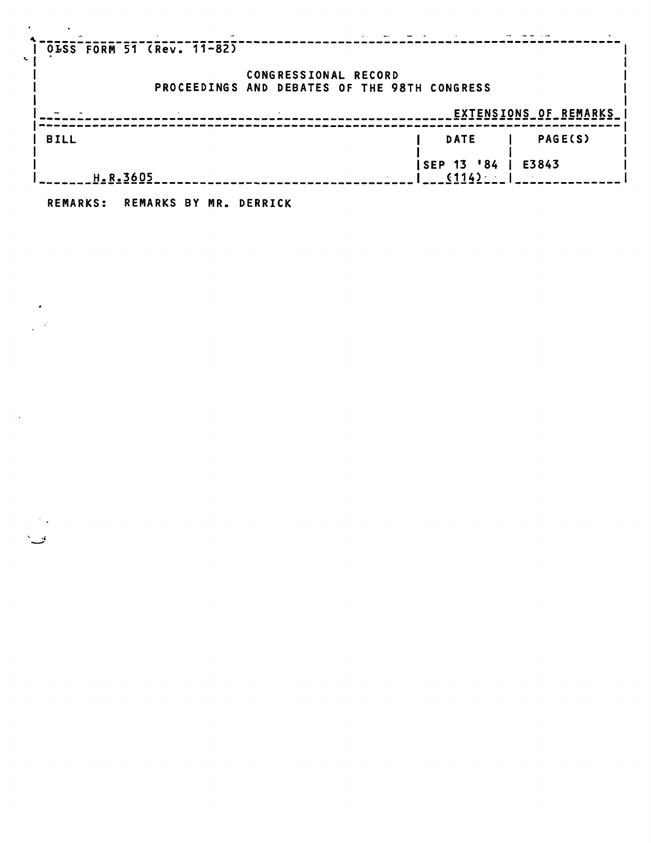| 0LSS FORM 51 (Rev. 11-82) |                                              |                     |                              |
|---------------------------|----------------------------------------------|---------------------|------------------------------|
|                           | CONGRESSIONAL RECORD                         |                     |                              |
|                           | PROCEEDINGS AND DEBATES OF THE 98TH CONGRESS |                     |                              |
|                           |                                              |                     | <b>EXTENSIONS OF REMARKS</b> |
| <b>BILL</b>               |                                              | DATE                | <b>PAGE(S)</b>               |
| H.R.3605                  |                                              | SEP 13 '84<br>(114) | E3843                        |
|                           |                                              |                     |                              |

**REMARKS: REMARKS BY MR. DERRICK** 

 $\langle \bullet \rangle$  .  $\frac{1}{2} \left( \frac{1}{2} \right)$ 

 $\sim 10^{11}$  km  $^{-1}$ 

پيءَ